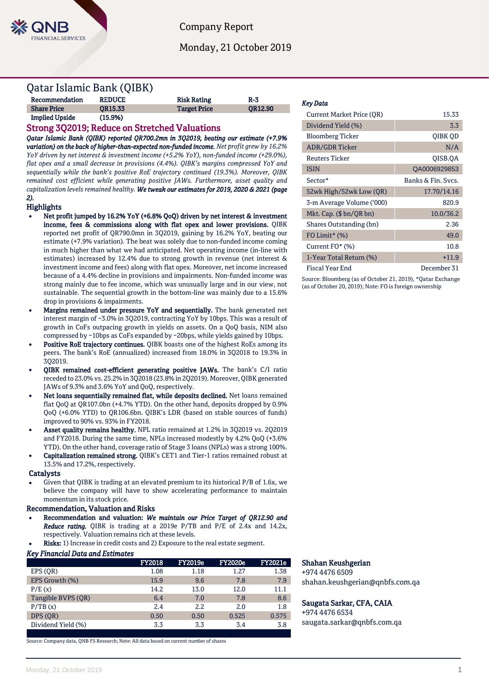

Company Report

Monday, 21 October 2019

# Qatar Islamic Bank (QIBK)

| Recommendation        | <b>REDUCE</b>  | <b>Risk Rating</b>  | R-3            |
|-----------------------|----------------|---------------------|----------------|
| <b>Share Price</b>    | <b>OR15.33</b> | <b>Target Price</b> | <b>OR12.90</b> |
| <b>Implied Upside</b> | (15.9%)        |                     |                |

# Strong 3Q2019; Reduce on Stretched Valuations

*Qatar Islamic Bank (QIBK) reported QR700.2mn in 3Q2019, beating our estimate (+7.9% variation) on the back of higher-than-expected non-funded income. Net profit grew by 16.2% YoY driven by net interest & investment income (+5.2% YoY), non-funded income (+29.0%), flat opex and a small decrease in provisions (4.4%). QIBK's margins compressed YoY and sequentially while the bank's positive RoE trajectory continued (19.3%). Moreover, QIBK remained cost efficient while generating positive JAWs. Furthermore, asset quality and capitalization levels remained healthy. We tweak our estimates for 2019, 2020 & 2021 (page 2).* 

# Highlights

- Net profit jumped by 16.2% YoY (+6.8% QoQ) driven by net interest & investment income, fees & commissions along with flat opex and lower provisions. QIBK reported net profit of QR790.0mn in 3Q2019, gaining by 16.2% YoY, beating our estimate (+7.9% variation)*.* The beat was solely due to non-funded income coming in much higher than what we had anticipated. Net operating income (in-line with estimates) increased by 12.4% due to strong growth in revenue (net interest & investment income and fees) along with flat opex. Moreover, net income increased because of a 4.4% decline in provisions and impairments. Non-funded income was strong mainly due to fee income, which was unusually large and in our view, not sustainable. The sequential growth in the bottom-line was mainly due to a 15.6% drop in provisions & impairments.
- Margins remained under pressure YoY and sequentially. The bank generated net interest margin of ~3.0% in 3Q2019, contracting YoY by 10bps. This was a result of growth in CoFs outpacing growth in yields on assets. On a QoQ basis, NIM also compressed by ~10bps as CoFs expanded by ~20bps, while yields gained by 10bps.
- Positive RoE trajectory continues. QIBK boasts one of the highest RoEs among its peers. The bank's RoE (annualized) increased from 18.0% in 3Q2018 to 19.3% in 3Q2019.
- QIBK remained cost-efficient generating positive JAWs. The bank's C/I ratio receded to 23.0% vs. 25.2% in 3Q2018 (23.8% in 2Q2019). Moreover, QIBK generated JAWs of 9.3% and 3.6% YoY and QoQ, respectively.
- Net loans sequentially remained flat, while deposits declined. Net loans remained flat QoQ at QR107.0bn (+4.7% YTD). On the other hand, deposits dropped by 0.9% QoQ (+6.0% YTD) to QR106.6bn. QIBK's LDR (based on stable sources of funds) improved to 90% vs. 93% in FY2018.
- Asset quality remains healthy. NPL ratio remained at 1.2% in 3Q2019 vs. 2Q2019 and FY2018. During the same time, NPLs increased modestly by 4.2% QoQ (+3.6% YTD). On the other hand, coverage ratio of Stage 3 loans (NPLs) was a strong 100%.
- Capitalization remained strong. QIBK's CET1 and Tier-1 ratios remained robust at 13.5% and 17.2%, respectively.

## **Catalysts**

 Given that QIBK is trading at an elevated premium to its historical P/B of 1.6x, we believe the company will have to show accelerating performance to maintain momentum in its stock price.

# Recommendation, Valuation and Risks

- Recommendation and valuation: *We maintain our Price Target of QR12.90 and Reduce rating.* QIBK is trading at a 2019e P/TB and P/E of 2.4x and 14.2x, respectively. Valuation remains rich at these levels.
- Risks: 1) Increase in credit costs and 2) Exposure to the real estate segment.

## *Key Financial Data and Estimates*

|                    | <b>FY2018</b> | <b>FY2019e</b> | <b>FY2020e</b> | <b>FY2021e</b> |
|--------------------|---------------|----------------|----------------|----------------|
| EPS (OR)           | 1.08          | 1.18           | 1.27           | 1.38           |
| EPS Growth (%)     | 15.9          | 9.6            | 7.8            | 7.9            |
| P/E(x)             | 14.2          | 13.0           | 12.0           | 11.1           |
| Tangible BVPS (OR) | 6.4           | 7.0            | 7.8            | 8.6            |
| P/TB(x)            | 2.4           | 2.2            | 2.0            | 1.8            |
| DPS (OR)           | 0.50          | 0.50           | 0.525          | 0.575          |
| Dividend Yield (%) | 3.3           | 3.3            | 3.4            | 3.8            |

Source: Company data, QNB FS Research; Note: All data based on current number of shares

## *Key Data*

| Current Market Price (OR) | 15.33              |
|---------------------------|--------------------|
| Dividend Yield (%)        | 3.3                |
| <b>Bloomberg Ticker</b>   | QIBK QD            |
| <b>ADR/GDR Ticker</b>     | N/A                |
| <b>Reuters Ticker</b>     | OISB.OA            |
| <b>ISIN</b>               | QA0006929853       |
| Sector*                   | Banks & Fin. Svcs. |
| 52wk High/52wk Low (QR)   | 17.70/14.16        |
| 3-m Average Volume ('000) | 820.9              |
| Mkt. Cap. $(\$bn/QR bn)$  | 10.0/36.2          |
| Shares Outstanding (bn)   | 2.36               |
| FO Limit* $(\%)$          | 49.0               |
| Current $FO^*(\%)$        | 10.8               |
| 1-Year Total Return (%)   | $+11.9$            |
| Fiscal Year End           | December 31        |

Source: Bloomberg (as of October 21, 2019), \*Qatar Exchange (as of October 20, 2019); Note: FO is foreign ownership

# Shahan Keushgerian

+974 4476 6509 shahan.keushgerian@qnbfs.com.qa

# Saugata Sarkar, CFA, CAIA

+974 4476 6534 saugata.sarkar@qnbfs.com.qa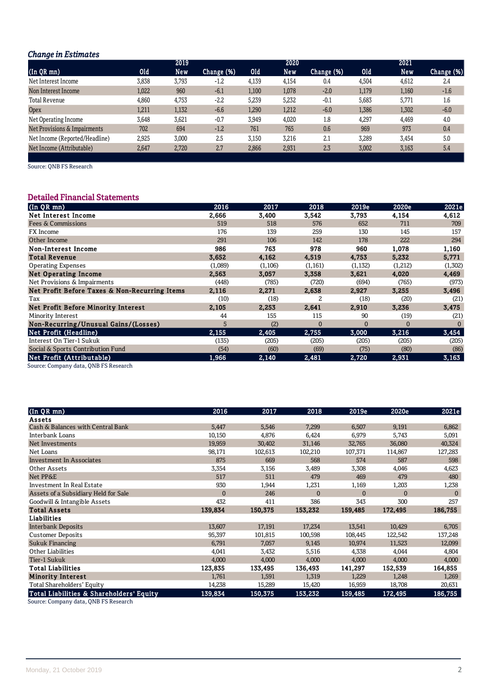# *Change in Estimates*

| -                              |       | 2019  |            |       | 2020  |            |       | 2021       |            |
|--------------------------------|-------|-------|------------|-------|-------|------------|-------|------------|------------|
| (In QR mn)                     | Old   | New   | Change (%) | 10d   | New   | Change (%) | 0ld   | <b>New</b> | Change (%) |
| Net Interest Income            | 3,838 | 3,793 | $-1.2$     | 4,139 | 4,154 | 0.4        | 4,504 | 4,612      | 2.4        |
| Non Interest Income            | 1,022 | 960   | $-6.1$     | 1,100 | 1,078 | $-2.0$     | 1,179 | 1,160      | $-1.6$     |
| <b>Total Revenue</b>           | 4,860 | 4,753 | $-2.2$     | 5,239 | 5,232 | $-0.1$     | 5,683 | 5.771      | 1.6        |
| <b>Opex</b>                    | 1,211 | 1,132 | $-6.6$     | 1,290 | 1,212 | $-6.0$     | 1,386 | 1,302      | $-6.0$     |
| Net Operating Income           | 3.648 | 3,621 | $-0.7$     | 3,949 | 4,020 | 1.8        | 4,297 | 4.469      | 4.0        |
| Net Provisions & Impairments   | 702   | 694   | $-1.2$     | 761   | 765   | 0.6        | 969   | 973        | 0.4        |
| Net Income (Reported/Headline) | 2,925 | 3,000 | 2.5        | 3,150 | 3,216 | 2.1        | 3,289 | 3,454      | 5.0        |
| Net Income (Attributable)      | 2,647 | 2.720 | 2.7        | 2,866 | 2,931 | 2.3        | 3,002 | 3,163      | 5.4        |

Source: QNB FS Research

# Detailed Financial Statements

| $($ In QR mn $)$                              | 2016    | 2017    | 2018           | 2019e    | 2020e    | 2021e    |
|-----------------------------------------------|---------|---------|----------------|----------|----------|----------|
| Net Interest Income                           | 2,666   | 3,400   | 3,542          | 3,793    | 4,154    | 4,612    |
| <b>Fees &amp; Commissions</b>                 | 519     | 518     | 576            | 652      | 711      | 709      |
| FX Income                                     | 176     | 139     | 259            | 130      | 145      | 157      |
| Other Income                                  | 291     | 106     | 142            | 178      | 222      | 294      |
| Non-Interest Income                           | 986     | 763     | 978            | 960      | 1,078    | 1,160    |
| <b>Total Revenue</b>                          | 3.652   | 4.162   | 4,519          | 4,753    | 5,232    | 5,771    |
| <b>Operating Expenses</b>                     | (1,089) | (1,106) | (1, 161)       | (1,132)  | (1,212)  | (1,302)  |
| <b>Net Operating Income</b>                   | 2.563   | 3,057   | 3,358          | 3.621    | 4,020    | 4,469    |
| Net Provisions & Impairments                  | (448)   | (785)   | (720)          | (694)    | (765)    | (973)    |
| Net Profit Before Taxes & Non-Recurring Items | 2,116   | 2,271   | 2,638          | 2,927    | 3,255    | 3,496    |
| Tax                                           | (10)    | (18)    | $\overline{2}$ | (18)     | (20)     | (21)     |
| Net Profit Before Minority Interest           | 2,105   | 2,253   | 2,641          | 2,910    | 3,236    | 3,475    |
| Minority Interest                             | 44      | 155     | 115            | 90       | (19)     | (21)     |
| Non-Recurring/Unusual Gains/(Losses)          | 5       | (2)     | $\Omega$       | $\Omega$ | $\Omega$ | $\Omega$ |
| Net Profit (Headline)                         | 2.155   | 2,405   | 2,755          | 3,000    | 3,216    | 3,454    |
| Interest On Tier-1 Sukuk                      | (135)   | (205)   | (205)          | (205)    | (205)    | (205)    |
| Social & Sports Contribution Fund             | (54)    | (60)    | (69)           | (75)     | (80)     | (86)     |
| Net Profit (Attributable)                     | 1,966   | 2,140   | 2,481          | 2,720    | 2,931    | 3,163    |

Source: Company data, QNB FS Research

| $(n QR)$ mn)                             | 2016         | 2017    | 2018         | 2019e        | 2020e          | 2021e        |
|------------------------------------------|--------------|---------|--------------|--------------|----------------|--------------|
| Assets                                   |              |         |              |              |                |              |
| Cash & Balances with Central Bank        | 5,447        | 5,546   | 7,299        | 6,507        | 9,191          | 6,862        |
| Interbank Loans                          | 10,150       | 4,876   | 6,424        | 6,979        | 5,743          | 5,091        |
| Net Investments                          | 19,959       | 30,402  | 31,146       | 32,765       | 36,080         | 40,324       |
| Net Loans                                | 98,171       | 102,613 | 102,210      | 107,371      | 114,867        | 127,283      |
| <b>Investment In Associates</b>          | 875          | 669     | 568          | 574          | 587            | 598          |
| Other Assets                             | 3,354        | 3,156   | 3,489        | 3,308        | 4,046          | 4,623        |
| Net PP&E                                 | 517          | 511     | 479          | 469          | 479            | 480          |
| Investment In Real Estate                | 930          | 1,944   | 1,231        | 1,169        | 1,203          | 1,238        |
| Assets of a Subsidiary Held for Sale     | $\mathbf{0}$ | 246     | $\mathbf{0}$ | $\mathbf{0}$ | $\overline{0}$ | $\mathbf{0}$ |
| Goodwill & Intangible Assets             | 432          | 411     | 386          | 343          | 300            | 257          |
| <b>Total Assets</b>                      | 139,834      | 150,375 | 153,232      | 159,485      | 172,495        | 186,755      |
| <b>Liabilities</b>                       |              |         |              |              |                |              |
| <b>Interbank Deposits</b>                | 13,607       | 17,191  | 17,234       | 13,541       | 10,429         | 6,705        |
| <b>Customer Deposits</b>                 | 95,397       | 101,815 | 100,598      | 108,445      | 122,542        | 137,248      |
| <b>Sukuk Financing</b>                   | 6,791        | 7,057   | 9,145        | 10,974       | 11,523         | 12,099       |
| Other Liabilities                        | 4,041        | 3,432   | 5,516        | 4,338        | 4,044          | 4,804        |
| Tier-1 Sukuk                             | 4,000        | 4,000   | 4,000        | 4,000        | 4,000          | 4,000        |
| <b>Total Liabilities</b>                 | 123,835      | 133,495 | 136,493      | 141,297      | 152,539        | 164,855      |
| <b>Minority Interest</b>                 | 1,761        | 1,591   | 1,319        | 1,229        | 1,248          | 1,269        |
| Total Shareholders' Equity               | 14,238       | 15,289  | 15,420       | 16,959       | 18,708         | 20,631       |
| Total Liabilities & Shareholders' Equity | 139,834      | 150,375 | 153,232      | 159,485      | 172,495        | 186,755      |

Source: Company data, QNB FS Research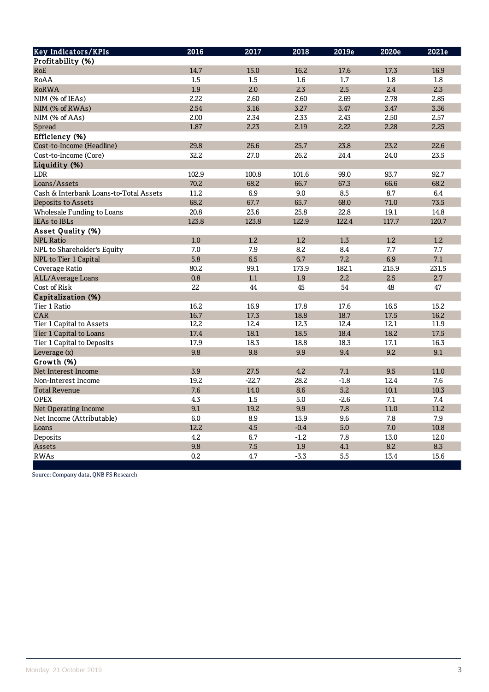| <b>Key Indicators/KPIs</b>             | 2016  | 2017    | 2018   | 2019e  | 2020e | 2021e |
|----------------------------------------|-------|---------|--------|--------|-------|-------|
| Profitability (%)                      |       |         |        |        |       |       |
| RoE                                    | 14.7  | 15.0    | 16.2   | 17.6   | 17.3  | 16.9  |
| RoAA                                   | 1.5   | 1.5     | 1.6    | 1.7    | 1.8   | 1.8   |
| <b>RoRWA</b>                           | 1.9   | 2.0     | 2.3    | 2.5    | 2.4   | 2.3   |
| NIM (% of IEAs)                        | 2.22  | 2.60    | 2.60   | 2.69   | 2.78  | 2.85  |
| NIM (% of RWAs)                        | 2.54  | 3.16    | 3.27   | 3.47   | 3.47  | 3.36  |
| NIM (% of AAs)                         | 2.00  | 2.34    | 2.33   | 2.43   | 2.50  | 2.57  |
| Spread                                 | 1.87  | 2.23    | 2.19   | 2.22   | 2.28  | 2.25  |
| Efficiency (%)                         |       |         |        |        |       |       |
| Cost-to-Income (Headline)              | 29.8  | 26.6    | 25.7   | 23.8   | 23.2  | 22.6  |
| Cost-to-Income (Core)                  | 32.2  | 27.0    | 26.2   | 24.4   | 24.0  | 23.5  |
| Liquidity (%)                          |       |         |        |        |       |       |
| LDR                                    | 102.9 | 100.8   | 101.6  | 99.0   | 93.7  | 92.7  |
| Loans/Assets                           | 70.2  | 68.2    | 66.7   | 67.3   | 66.6  | 68.2  |
| Cash & Interbank Loans-to-Total Assets | 11.2  | 6.9     | 9.0    | 8.5    | 8.7   | 6.4   |
| Deposits to Assets                     | 68.2  | 67.7    | 65.7   | 68.0   | 71.0  | 73.5  |
| Wholesale Funding to Loans             | 20.8  | 23.6    | 25.8   | 22.8   | 19.1  | 14.8  |
| <b>IEAs to IBLs</b>                    | 123.8 | 123.8   | 122.9  | 122.4  | 117.7 | 120.7 |
| Asset Quality (%)                      |       |         |        |        |       |       |
| <b>NPL Ratio</b>                       | 1.0   | 1.2     | 1.2    | 1.3    | 1.2   | 1.2   |
| NPL to Shareholder's Equity            | 7.0   | 7.9     | 8.2    | 8.4    | 7.7   | 7.7   |
| NPL to Tier 1 Capital                  | 5.8   | 6.5     | 6.7    | 7.2    | 6.9   | 7.1   |
| Coverage Ratio                         | 80.2  | 99.1    | 173.9  | 182.1  | 215.9 | 231.5 |
| ALL/Average Loans                      | 0.8   | 1.1     | 1.9    | 2.2    | 2.5   | 2.7   |
| Cost of Risk                           | 22    | 44      | 45     | 54     | 48    | 47    |
| Capitalization (%)                     |       |         |        |        |       |       |
| Tier 1 Ratio                           | 16.2  | 16.9    | 17.8   | 17.6   | 16.5  | 15.2  |
| CAR                                    | 16.7  | 17.3    | 18.8   | 18.7   | 17.5  | 16.2  |
| Tier 1 Capital to Assets               | 12.2  | 12.4    | 12.3   | 12.4   | 12.1  | 11.9  |
| Tier 1 Capital to Loans                | 17.4  | 18.1    | 18.5   | 18.4   | 18.2  | 17.5  |
| Tier 1 Capital to Deposits             | 17.9  | 18.3    | 18.8   | 18.3   | 17.1  | 16.3  |
| Leverage (x)                           | 9.8   | 9.8     | 9.9    | 9.4    | 9.2   | 9.1   |
| Growth (%)                             |       |         |        |        |       |       |
| Net Interest Income                    | 3.9   | 27.5    | 4.2    | 7.1    | 9.5   | 11.0  |
| Non-Interest Income                    | 19.2  | $-22.7$ | 28.2   | $-1.8$ | 12.4  | 7.6   |
| <b>Total Revenue</b>                   | 7.6   | 14.0    | 8.6    | 5.2    | 10.1  | 10.3  |
| <b>OPEX</b>                            | 4.3   | 1.5     | 5.0    | $-2.6$ | 7.1   | 7.4   |
| Net Operating Income                   | 9.1   | 19.2    | 9.9    | 7.8    | 11.0  | 11.2  |
| Net Income (Attributable)              | 6.0   | 8.9     | 15.9   | 9.6    | 7.8   | 7.9   |
| Loans                                  | 12.2  | 4.5     | $-0.4$ | 5.0    | 7.0   | 10.8  |
| Deposits                               | 4.2   | 6.7     | $-1.2$ | 7.8    | 13.0  | 12.0  |
| Assets                                 | 9.8   | 7.5     | 1.9    | 4.1    | 8.2   | 8.3   |
| <b>RWAs</b>                            | 0.2   | 4.7     | $-3.3$ | 5.5    | 13.4  | 15.6  |

Source: Company data, QNB FS Research